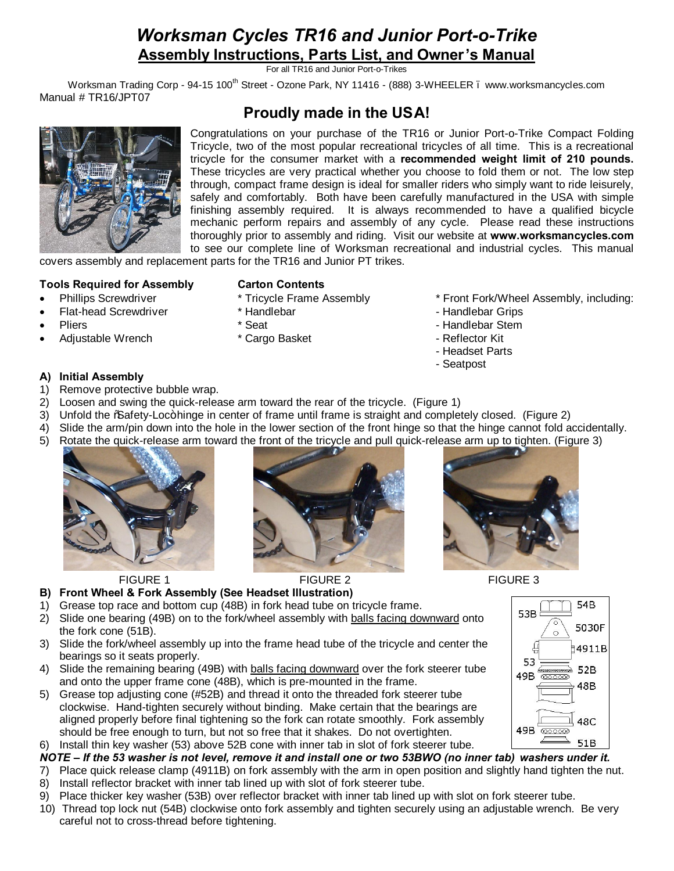# *Worksman Cycles TR16 and Junior Port-o-Trike* **Assembly Instructions, Parts List, and Owner's Manual**

For all TR16 and Junior Port-o-Trikes

Worksman Trading Corp - 94-15 100<sup>th</sup> Street - Ozone Park, NY 11416 - (888) 3-WHEELER . www.worksmancycles.com Manual # TR16/JPT07

# **Proudly made in the USA!**

Congratulations on your purchase of the TR16 or Junior Port-o-Trike Compact Folding Tricycle, two of the most popular recreational tricycles of all time. This is a recreational tricycle for the consumer market with a **recommended weight limit of 210 pounds.** These tricycles are very practical whether you choose to fold them or not. The low step through, compact frame design is ideal for smaller riders who simply want to ride leisurely, safely and comfortably. Both have been carefully manufactured in the USA with simple finishing assembly required. It is always recommended to have a qualified bicycle mechanic perform repairs and assembly of any cycle. Please read these instructions thoroughly prior to assembly and riding. Visit our website at **www.worksmancycles.com** to see our complete line of Worksman recreational and industrial cycles. This manual

covers assembly and replacement parts for the TR16 and Junior PT trikes.

# **Tools Required for Assembly Carton Contents**

- Phillips Screwdriver \* Tricycle Frame Assembly \* Front Fork/Wheel Assembly, including:
- Flat-head Screwdriver \* \* Handlebar \* Handlebar + Handlebar 5rips
- Pliers **Figure 1.** The seat of the seat of the Stem of the Handlebar Stem of the Stem of the Stem of the Stem of the Stem of the Stem of the Stem of the Stem of the Stem of the Stem of the Stem of the Stem of the Stem of t
- Adjustable Wrench \* Cargo Basket Reflector Kit

- **A) Initial Assembly** 1) Remove protective bubble wrap.
- 2) Loosen and swing the quick-release arm toward the rear of the tricycle. (Figure 1)
- 3) Unfold the Saafety-Loc+hinge in center of frame until frame is straight and completely closed. (Figure 2)
- 4) Slide the arm/pin down into the hole in the lower section of the front hinge so that the hinge cannot fold accidentally.
- 5) Rotate the quick-release arm toward the front of the tricycle and pull quick-release arm up to tighten. (Figure 3)







- Headset Parts - Seatpost



**B) Front Wheel & Fork Assembly (See Headset Illustration)**

- 1) Grease top race and bottom cup (48B) in fork head tube on tricycle frame.
- 2) Slide one bearing (49B) on to the fork/wheel assembly with balls facing downward onto the fork cone (51B).
- 3) Slide the fork/wheel assembly up into the frame head tube of the tricycle and center the bearings so it seats properly.
- 4) Slide the remaining bearing (49B) with balls facing downward over the fork steerer tube and onto the upper frame cone (48B), which is pre-mounted in the frame.
- 5) Grease top adjusting cone (#52B) and thread it onto the threaded fork steerer tube clockwise. Hand-tighten securely without binding. Make certain that the bearings are aligned properly before final tightening so the fork can rotate smoothly. Fork assembly should be free enough to turn, but not so free that it shakes. Do not overtighten.

# 6) Install thin key washer (53) above 52B cone with inner tab in slot of fork steerer tube.

- *NOTE – If the 53 washer is not level, remove it and install one or two 53BWO (no inner tab) washers under it.*
- 7) Place quick release clamp (4911B) on fork assembly with the arm in open position and slightly hand tighten the nut. 8) Install reflector bracket with inner tab lined up with slot of fork steerer tube.
- 9) Place thicker key washer (53B) over reflector bracket with inner tab lined up with slot on fork steerer tube.
- 10) Thread top lock nut (54B) clockwise onto fork assembly and tighten securely using an adjustable wrench. Be very careful not to cross-thread before tightening.



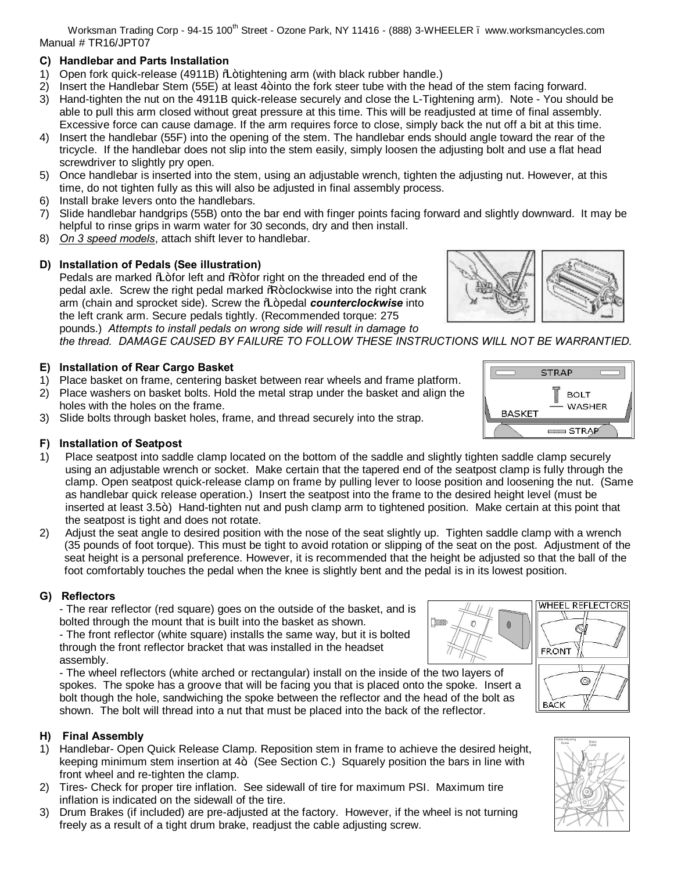Worksman Trading Corp - 94-15 100<sup>th</sup> Street - Ozone Park, NY 11416 - (888) 3-WHEELER . www.worksmancycles.com Manual # TR16/JPT07

# **C) Handlebar and Parts Installation**

- 1) Open fork quick-release (4911B)  $%$  tightening arm (with black rubber handle.)
- 2) Insert the Handlebar Stem (55E) at least  $4+$  into the fork steer tube with the head of the stem facing forward.
- 3) Hand-tighten the nut on the 4911B quick-release securely and close the L-Tightening arm). Note You should be able to pull this arm closed without great pressure at this time. This will be readjusted at time of final assembly. Excessive force can cause damage. If the arm requires force to close, simply back the nut off a bit at this time.
- 4) Insert the handlebar (55F) into the opening of the stem. The handlebar ends should angle toward the rear of the tricycle. If the handlebar does not slip into the stem easily, simply loosen the adjusting bolt and use a flat head screwdriver to slightly pry open.
- 5) Once handlebar is inserted into the stem, using an adjustable wrench, tighten the adjusting nut. However, at this time, do not tighten fully as this will also be adjusted in final assembly process.
- 6) Install brake levers onto the handlebars.
- 7) Slide handlebar handgrips (55B) onto the bar end with finger points facing forward and slightly downward. It may be helpful to rinse grips in warm water for 30 seconds, dry and then install.
- 8) *On 3 speed models*, attach shift lever to handlebar.

# **D) Installation of Pedals (See illustration)**

Pedals are marked  $\frac{1}{2}$  for left and  $\frac{1}{2}$  for right on the threaded end of the pedal axle. Screw the right pedal marked "R" clockwise into the right crank arm (chain and sprocket side). Screw the  $%$  pedal *counterclockwise* into the left crank arm. Secure pedals tightly. (Recommended torque: 275 pounds.) *Attempts to install pedals on wrong side will result in damage to* 

*the thread. DAMAGE CAUSED BY FAILURE TO FOLLOW THESE INSTRUCTIONS WILL NOT BE WARRANTIED.*

# **E) Installation of Rear Cargo Basket**

- 1) Place basket on frame, centering basket between rear wheels and frame platform.
- 2) Place washers on basket bolts. Hold the metal strap under the basket and align the holes with the holes on the frame.
- 3) Slide bolts through basket holes, frame, and thread securely into the strap.

# **F) Installation of Seatpost**

- 1) Place seatpost into saddle clamp located on the bottom of the saddle and slightly tighten saddle clamp securely using an adjustable wrench or socket. Make certain that the tapered end of the seatpost clamp is fully through the clamp. Open seatpost quick-release clamp on frame by pulling lever to loose position and loosening the nut. (Same as handlebar quick release operation.) Insert the seatpost into the frame to the desired height level (must be inserted at least  $3.5+)$ . Hand-tighten nut and push clamp arm to tightened position. Make certain at this point that the seatpost is tight and does not rotate.
- 2) Adjust the seat angle to desired position with the nose of the seat slightly up. Tighten saddle clamp with a wrench (35 pounds of foot torque). This must be tight to avoid rotation or slipping of the seat on the post. Adjustment of the seat height is a personal preference. However, it is recommended that the height be adjusted so that the ball of the foot comfortably touches the pedal when the knee is slightly bent and the pedal is in its lowest position.

# **G) Reflectors**

- The rear reflector (red square) goes on the outside of the basket, and is bolted through the mount that is built into the basket as shown.

- The front reflector (white square) installs the same way, but it is bolted through the front reflector bracket that was installed in the headset assembly.

- The wheel reflectors (white arched or rectangular) install on the inside of the two layers of spokes. The spoke has a groove that will be facing you that is placed onto the spoke. Insert a bolt though the hole, sandwiching the spoke between the reflector and the head of the bolt as shown. The bolt will thread into a nut that must be placed into the back of the reflector.

# **H) Final Assembly**

- 1) Handlebar- Open Quick Release Clamp. Reposition stem in frame to achieve the desired height, keeping minimum stem insertion at  $4+$  (See Section C.) Squarely position the bars in line with front wheel and re-tighten the clamp.
- 2) Tires- Check for proper tire inflation. See sidewall of tire for maximum PSI. Maximum tire inflation is indicated on the sidewall of the tire.
- 3) Drum Brakes (if included) are pre-adjusted at the factory. However, if the wheel is not turning freely as a result of a tight drum brake, readjust the cable adjusting screw.







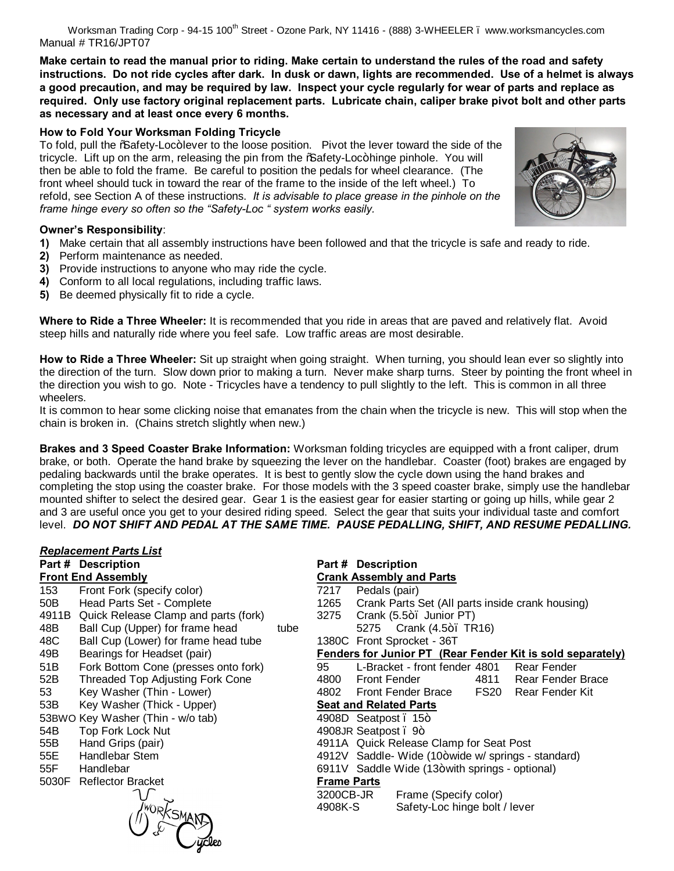Worksman Trading Corp - 94-15 100<sup>th</sup> Street - Ozone Park, NY 11416 - (888) 3-WHEELER . www.worksmancycles.com Manual # TR16/JPT07

**Make certain to read the manual prior to riding. Make certain to understand the rules of the road and safety instructions. Do not ride cycles after dark. In dusk or dawn, lights are recommended. Use of a helmet is always a good precaution, and may be required by law. Inspect your cycle regularly for wear of parts and replace as required. Only use factory original replacement parts. Lubricate chain, caliper brake pivot bolt and other parts as necessary and at least once every 6 months.**

### **How to Fold Your Worksman Folding Tricycle**

To fold, pull the %Safety-Loc+lever to the loose position. Pivot the lever toward the side of the tricycle. Lift up on the arm, releasing the pin from the %aafety-Loc+hinge pinhole. You will then be able to fold the frame. Be careful to position the pedals for wheel clearance. (The front wheel should tuck in toward the rear of the frame to the inside of the left wheel.) To refold, see Section A of these instructions. *It is advisable to place grease in the pinhole on the frame hinge every so often so the "Safety-Loc " system works easily.*

### **Owner's Responsibility**:

*Replacement Parts List*

- **1)** Make certain that all assembly instructions have been followed and that the tricycle is safe and ready to ride.
- **2)** Perform maintenance as needed.
- **3)** Provide instructions to anyone who may ride the cycle.
- **4)** Conform to all local regulations, including traffic laws.
- **5)** Be deemed physically fit to ride a cycle.

**Where to Ride a Three Wheeler:** It is recommended that you ride in areas that are paved and relatively flat. Avoid steep hills and naturally ride where you feel safe. Low traffic areas are most desirable.

**How to Ride a Three Wheeler:** Sit up straight when going straight. When turning, you should lean ever so slightly into the direction of the turn. Slow down prior to making a turn. Never make sharp turns. Steer by pointing the front wheel in the direction you wish to go. Note - Tricycles have a tendency to pull slightly to the left. This is common in all three wheelers.

It is common to hear some clicking noise that emanates from the chain when the tricycle is new. This will stop when the chain is broken in. (Chains stretch slightly when new.)

**Brakes and 3 Speed Coaster Brake Information:** Worksman folding tricycles are equipped with a front caliper, drum brake, or both. Operate the hand brake by squeezing the lever on the handlebar. Coaster (foot) brakes are engaged by pedaling backwards until the brake operates. It is best to gently slow the cycle down using the hand brakes and completing the stop using the coaster brake. For those models with the 3 speed coaster brake, simply use the handlebar mounted shifter to select the desired gear. Gear 1 is the easiest gear for easier starting or going up hills, while gear 2 and 3 are useful once you get to your desired riding speed. Select the gear that suits your individual taste and comfort level. *DO NOT SHIFT AND PEDAL AT THE SAME TIME. PAUSE PEDALLING, SHIFT, AND RESUME PEDALLING.*

| Replacement Farts List                  |      |                                 |                                                                   |  |  |  |
|-----------------------------------------|------|---------------------------------|-------------------------------------------------------------------|--|--|--|
| Part # Description                      |      |                                 | Part # Description                                                |  |  |  |
| <b>Front End Assembly</b>               |      | <b>Crank Assembly and Parts</b> |                                                                   |  |  |  |
| Front Fork (specify color)              |      | 7217                            | Pedals (pair)                                                     |  |  |  |
| Head Parts Set - Complete               |      | 1265                            | Crank Parts Set (All parts inside crank housing)                  |  |  |  |
| Quick Release Clamp and parts (fork)    |      | 3275                            | Crank (5.5+. Junior PT)                                           |  |  |  |
| Ball Cup (Upper) for frame head         | tube |                                 | 5275 Crank (4.5+. TR16)                                           |  |  |  |
| Ball Cup (Lower) for frame head tube    |      |                                 | 1380C Front Sprocket - 36T                                        |  |  |  |
| Bearings for Headset (pair)             |      |                                 | <b>Fenders for Junior PT (Rear Fender Kit is sold separately)</b> |  |  |  |
| Fork Bottom Cone (presses onto fork)    |      | 95                              | L-Bracket - front fender 4801<br>Rear Fender                      |  |  |  |
| <b>Threaded Top Adjusting Fork Cone</b> |      | 4800                            | Front Fender<br>4811<br><b>Rear Fender Brace</b>                  |  |  |  |
| Key Washer (Thin - Lower)               |      | 4802                            | Front Fender Brace<br>FS20<br>Rear Fender Kit                     |  |  |  |
| Key Washer (Thick - Upper)              |      |                                 | <b>Seat and Related Parts</b>                                     |  |  |  |
| 53BWO Key Washer (Thin - w/o tab)       |      |                                 | 4908D Seatpost . 15+                                              |  |  |  |
| Top Fork Lock Nut                       |      |                                 | 4908JR Seatpost . 9+                                              |  |  |  |
| Hand Grips (pair)                       |      |                                 | 4911A Quick Release Clamp for Seat Post                           |  |  |  |
| Handlebar Stem                          |      |                                 | 4912V Saddle-Wide (10+wide w/springs - standard)                  |  |  |  |
| Handlebar                               |      |                                 | 6911V Saddle Wide (13+with springs - optional)                    |  |  |  |
| <b>Reflector Bracket</b>                |      | <b>Frame Parts</b>              |                                                                   |  |  |  |
|                                         |      | 3200CB-JR                       | Frame (Specify color)                                             |  |  |  |
|                                         |      | 4908K-S                         | Safety-Loc hinge bolt / lever                                     |  |  |  |
|                                         |      |                                 |                                                                   |  |  |  |
|                                         |      |                                 |                                                                   |  |  |  |
|                                         |      |                                 |                                                                   |  |  |  |
|                                         |      |                                 |                                                                   |  |  |  |